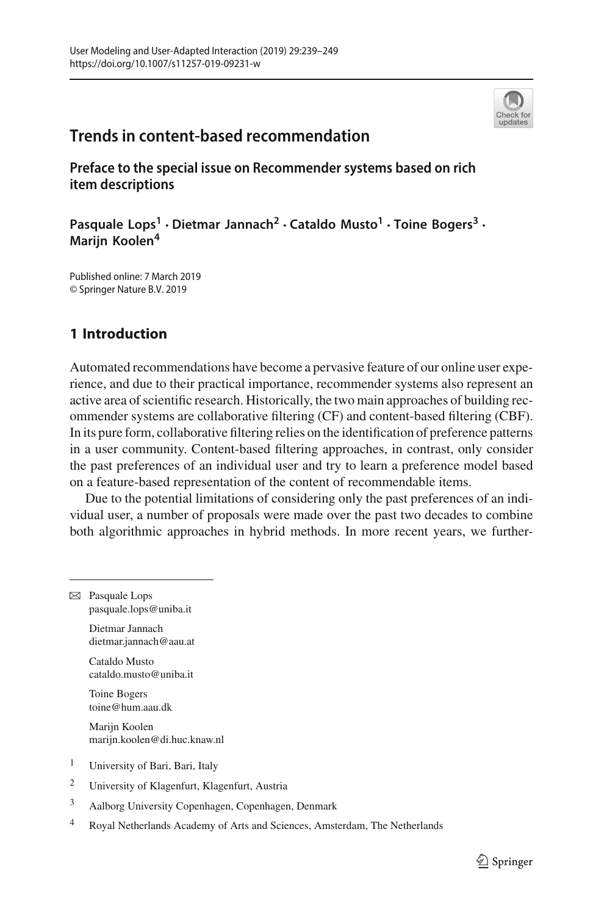

# **Trends in content-based recommendation**

**Preface to the special issue on Recommender systems based on rich item descriptions**

**Pasquale Lops<sup>1</sup> · Dietmar Jannach2 · Cataldo Musto1 · Toine Bogers<sup>3</sup> · Marijn Koolen4**

Published online: 7 March 2019 © Springer Nature B.V. 2019

## **1 Introduction**

Automated recommendations have become a pervasive feature of our online user experience, and due to their practical importance, recommender systems also represent an active area of scientific research. Historically, the two main approaches of building recommender systems are collaborative filtering (CF) and content-based filtering (CBF). In its pure form, collaborative filtering relies on the identification of preference patterns in a user community. Content-based filtering approaches, in contrast, only consider the past preferences of an individual user and try to learn a preference model based on a feature-based representation of the content of recommendable items.

Due to the potential limitations of considering only the past preferences of an individual user, a number of proposals were made over the past two decades to combine both algorithmic approaches in hybrid methods. In more recent years, we further-

 $\boxtimes$  Pasquale Lops pasquale.lops@uniba.it

> Dietmar Jannach dietmar.jannach@aau.at

> Cataldo Musto cataldo.musto@uniba.it

Toine Bogers toine@hum.aau.dk

Marijn Koolen marijn.koolen@di.huc.knaw.nl

- <sup>1</sup> University of Bari, Bari, Italy
- <sup>2</sup> University of Klagenfurt, Klagenfurt, Austria
- <sup>3</sup> Aalborg University Copenhagen, Copenhagen, Denmark
- <sup>4</sup> Royal Netherlands Academy of Arts and Sciences, Amsterdam, The Netherlands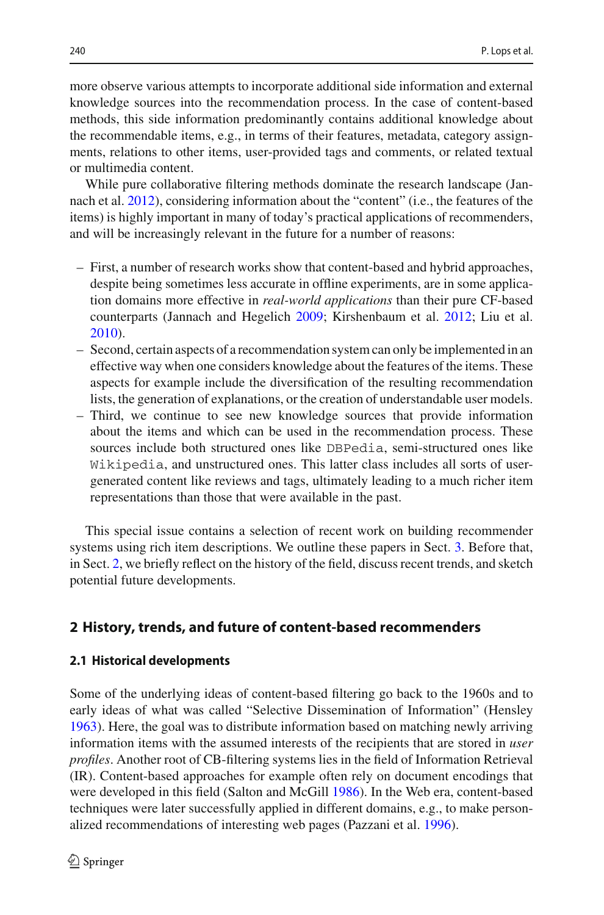more observe various attempts to incorporate additional side information and external knowledge sources into the recommendation process. In the case of content-based methods, this side information predominantly contains additional knowledge about the recommendable items, e.g., in terms of their features, metadata, category assignments, relations to other items, user-provided tags and comments, or related textual or multimedia content.

While pure collaborative filtering methods dominate the research landscape (Jannach et al[.](#page-8-0) [2012\)](#page-8-0), considering information about the "content" (i.e., the features of the items) is highly important in many of today's practical applications of recommenders, and will be increasingly relevant in the future for a number of reasons:

- First, a number of research works show that content-based and hybrid approaches, despite being sometimes less accurate in offline experiments, are in some application domains more effective in *real-world applications* than their pure CF-based counterparts (Jannach and Hegelic[h](#page-8-1) [2009](#page-8-1); Kirshenbaum et al[.](#page-8-2) [2012](#page-8-2); Liu et al[.](#page-8-3) [2010\)](#page-8-3).
- Second, certain aspects of a recommendation system can only be implemented in an effective way when one considers knowledge about the features of the items. These aspects for example include the diversification of the resulting recommendation lists, the generation of explanations, or the creation of understandable user models.
- Third, we continue to see new knowledge sources that provide information about the items and which can be used in the recommendation process. These sources include both structured ones like DBPedia, semi-structured ones like Wikipedia, and unstructured ones. This latter class includes all sorts of usergenerated content like reviews and tags, ultimately leading to a much richer item representations than those that were available in the past.

This special issue contains a selection of recent work on building recommender systems using rich item descriptions. We outline these papers in Sect. [3.](#page-6-0) Before that, in Sect. [2,](#page-1-0) we briefly reflect on the history of the field, discuss recent trends, and sketch potential future developments.

## <span id="page-1-0"></span>**2 History, trends, and future of content-based recommenders**

#### **2.1 Historical developments**

Some of the underlying ideas of content-based filtering go back to the 1960s and to early ideas of what was called "Selective Dissemination of Information" (Hensle[y](#page-8-4) [1963\)](#page-8-4). Here, the goal was to distribute information based on matching newly arriving information items with the assumed interests of the recipients that are stored in *user profiles*. Another root of CB-filtering systems lies in the field of Information Retrieval (IR). Content-based approaches for example often rely on document encodings that were developed in this field (Salton and McGil[l](#page-9-0) [1986\)](#page-9-0). In the Web era, content-based techniques were later successfully applied in different domains, e.g., to make personalized recommendations of interesting web pages (Pazzani et al[.](#page-9-1) [1996](#page-9-1)).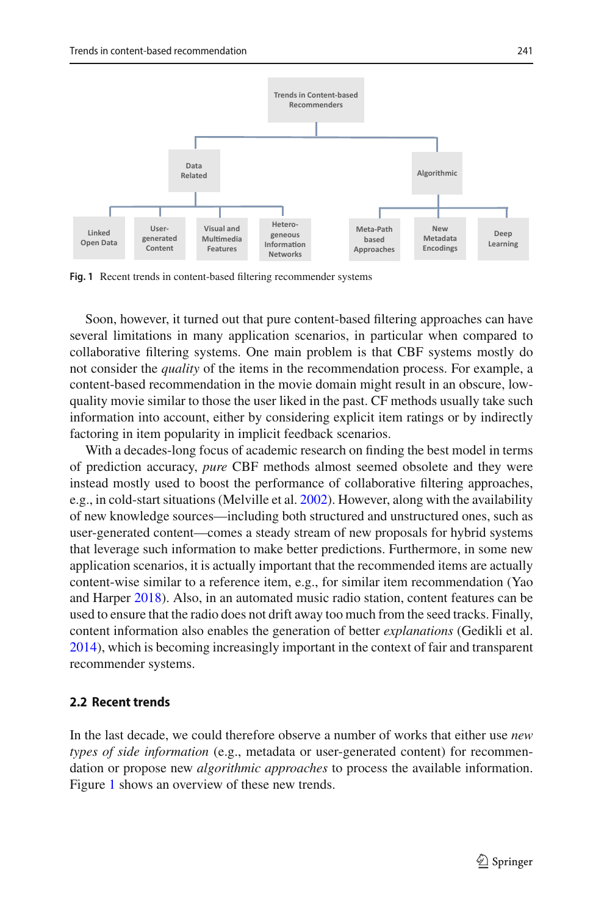

<span id="page-2-0"></span>**Fig. 1** Recent trends in content-based filtering recommender systems

Soon, however, it turned out that pure content-based filtering approaches can have several limitations in many application scenarios, in particular when compared to collaborative filtering systems. One main problem is that CBF systems mostly do not consider the *quality* of the items in the recommendation process. For example, a content-based recommendation in the movie domain might result in an obscure, lowquality movie similar to those the user liked in the past. CF methods usually take such information into account, either by considering explicit item ratings or by indirectly factoring in item popularity in implicit feedback scenarios.

With a decades-long focus of academic research on finding the best model in terms of prediction accuracy, *pure* CBF methods almost seemed obsolete and they were instead mostly used to boost the performance of collaborative filtering approaches, e.g., in cold-start situations (Melville et al[.](#page-8-5) [2002](#page-8-5)). However, along with the availability of new knowledge sources—including both structured and unstructured ones, such as user-generated content—comes a steady stream of new proposals for hybrid systems that leverage such information to make better predictions. Furthermore, in some new application scenarios, it is actually important that the recommended items are actually content-wise similar to a reference item, e.g., for similar item recommendation (Yao and Harpe[r](#page-9-2) [2018\)](#page-9-2). Also, in an automated music radio station, content features can be used to ensure that the radio does not drift away too much from the seed tracks. Finally, content information also enables the generation of better *explanations* (Gedikli et al[.](#page-8-6) [2014\)](#page-8-6), which is becoming increasingly important in the context of fair and transparent recommender systems.

#### **2.2 Recent trends**

In the last decade, we could therefore observe a number of works that either use *new types of side information* (e.g., metadata or user-generated content) for recommendation or propose new *algorithmic approaches* to process the available information. Figure [1](#page-2-0) shows an overview of these new trends.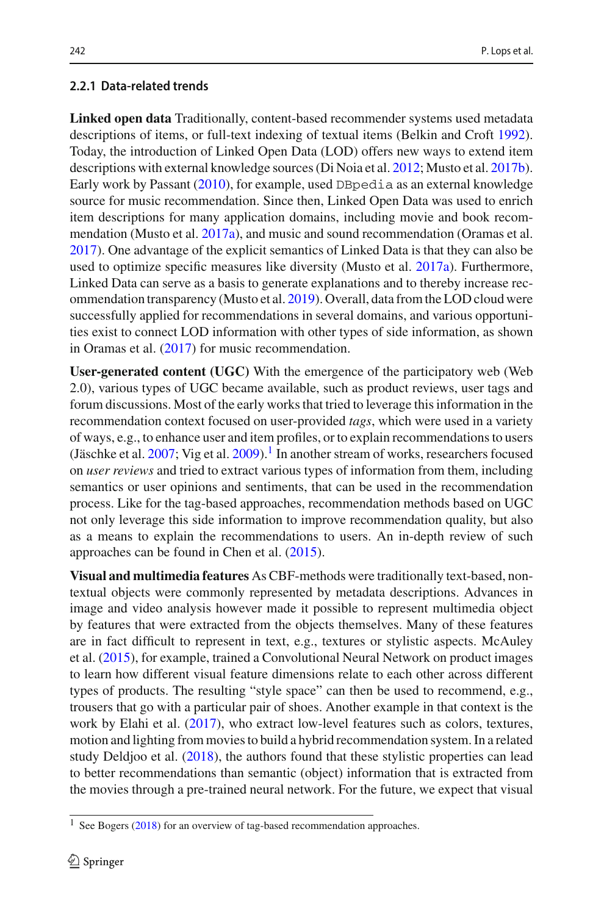### **2.2.1 Data-related trends**

**Linked open data** Traditionally, content-based recommender systems used metadata descriptions of items, or full-text indexing of textual items (Belkin and Crof[t](#page-7-0) [1992](#page-7-0)). Today, the introduction of Linked Open Data (LOD) offers new ways to extend item descriptions with external knowledge sources (Di Noia et al[.](#page-8-7) [2012;](#page-8-7) Musto et al[.](#page-9-3) [2017b](#page-9-3)). Early work by Passan[t](#page-9-4) [\(2010](#page-9-4)), for example, used DBpedia as an external knowledge source for music recommendation. Since then, Linked Open Data was used to enrich item descriptions for many application domains, including movie and book recommendation (Musto et al[.](#page-9-5) [2017a](#page-9-5)), and music and sound recommendation (Oramas et al[.](#page-9-6) [2017\)](#page-9-6). One advantage of the explicit semantics of Linked Data is that they can also be used to optimize specific measures like diversity (Musto et al[.](#page-9-5) [2017a](#page-9-5)). Furthermore, Linked Data can serve as a basis to generate explanations and to thereby increase recommendation transparency (Musto et al[.](#page-9-7) [2019](#page-9-7)). Overall, data from the LOD cloud were successfully applied for recommendations in several domains, and various opportunities exist to connect LOD information with other types of side information, as shown in Oramas et al[.](#page-9-6) [\(2017\)](#page-9-6) for music recommendation.

**User-generated content (UGC)** With the emergence of the participatory web (Web 2.0), various types of UGC became available, such as product reviews, user tags and forum discussions. Most of the early works that tried to leverage this information in the recommendation context focused on user-provided *tags*, which were used in a variety of ways, e.g., to enhance user and item profiles, or to explain recommendations to users (Jäschke et al[.](#page-9-8)  $2007$ ; Vig et al.  $2009$ ).<sup>[1](#page-3-0)</sup> In another stream of works, researchers focused on *user reviews* and tried to extract various types of information from them, including semantics or user opinions and sentiments, that can be used in the recommendation process. Like for the tag-based approaches, recommendation methods based on UGC not only leverage this side information to improve recommendation quality, but also as a means to explain the recommendations to users. An in-depth review of such approaches can be found in Chen et al[.](#page-7-1) [\(2015\)](#page-7-1).

**Visual and multimedia features** As CBF-methods were traditionally text-based, nontextual objects were commonly represented by metadata descriptions. Advances in image and video analysis however made it possible to represent multimedia object by features that were extracted from the objects themselves. Many of these features are in fact difficult to represent in text, e.g., textures or stylistic aspects. McAuley et al[.](#page-8-9) [\(2015\)](#page-8-9), for example, trained a Convolutional Neural Network on product images to learn how different visual feature dimensions relate to each other across different types of products. The resulting "style space" can then be used to recommend, e.g., trousers that go with a particular pair of shoes. Another example in that context is the work by Elahi et al[.](#page-8-10) [\(2017\)](#page-8-10), who extract low-level features such as colors, textures, motion and lighting from movies to build a hybrid recommendation system. In a related study Deldjoo et al[.](#page-7-2) [\(2018\)](#page-7-2), the authors found that these stylistic properties can lead to better recommendations than semantic (object) information that is extracted from the movies through a pre-trained neural network. For the future, we expect that visual

<span id="page-3-0"></span><sup>&</sup>lt;[s](#page-7-3)up>1</sup> See Bogers [\(2018](#page-7-3)) for an overview of tag-based recommendation approaches.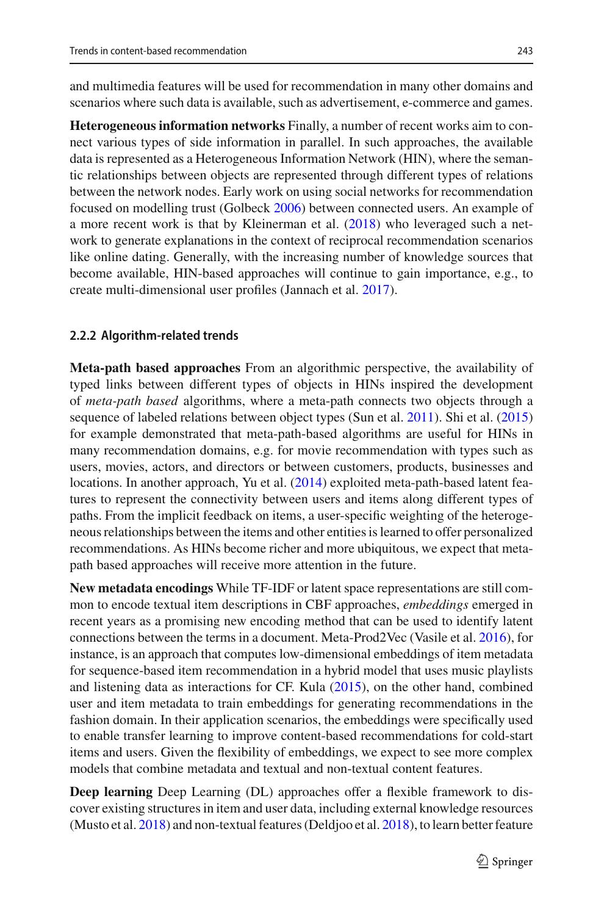and multimedia features will be used for recommendation in many other domains and scenarios where such data is available, such as advertisement, e-commerce and games.

**Heterogeneous information networks** Finally, a number of recent works aim to connect various types of side information in parallel. In such approaches, the available data is represented as a Heterogeneous Information Network (HIN), where the semantic relationships between objects are represented through different types of relations between the network nodes. Early work on using social networks for recommendation focused on modelling trust (Golbec[k](#page-8-11) [2006](#page-8-11)) between connected users. An example of a more recent work is that by Kleinerman et al[.](#page-8-12) [\(2018\)](#page-8-12) who leveraged such a network to generate explanations in the context of reciprocal recommendation scenarios like online dating. Generally, with the increasing number of knowledge sources that become available, HIN-based approaches will continue to gain importance, e.g., to create multi-dimensional user profiles (Jannach et al[.](#page-8-13) [2017\)](#page-8-13).

#### **2.2.2 Algorithm-related trends**

**Meta-path based approaches** From an algorithmic perspective, the availability of typed links between different types of objects in HINs inspired the development of *meta-path based* algorithms, where a meta-path connects two objects through a sequence of labeled relations between object types (Sun et al[.](#page-9-9) [2011](#page-9-9)). Shi et al[.](#page-9-10) [\(2015\)](#page-9-10) for example demonstrated that meta-path-based algorithms are useful for HINs in many recommendation domains, e.g. for movie recommendation with types such as users, movies, actors, and directors or between customers, products, businesses and locations. In another approach, Yu et al[.](#page-9-11) [\(2014\)](#page-9-11) exploited meta-path-based latent features to represent the connectivity between users and items along different types of paths. From the implicit feedback on items, a user-specific weighting of the heterogeneous relationships between the items and other entities is learned to offer personalized recommendations. As HINs become richer and more ubiquitous, we expect that metapath based approaches will receive more attention in the future.

**New metadata encodings** While TF-IDF or latent space representations are still common to encode textual item descriptions in CBF approaches, *embeddings* emerged in recent years as a promising new encoding method that can be used to identify latent connections between the terms in a document. Meta-Prod2Vec (Vasile et al[.](#page-9-12) [2016\)](#page-9-12), for instance, is an approach that computes low-dimensional embeddings of item metadata for sequence-based item recommendation in a hybrid model that uses music playlists and listening data as interactions for CF. Kul[a](#page-8-14) [\(2015](#page-8-14)), on the other hand, combined user and item metadata to train embeddings for generating recommendations in the fashion domain. In their application scenarios, the embeddings were specifically used to enable transfer learning to improve content-based recommendations for cold-start items and users. Given the flexibility of embeddings, we expect to see more complex models that combine metadata and textual and non-textual content features.

**Deep learning** Deep Learning (DL) approaches offer a flexible framework to discover existing structures in item and user data, including external knowledge resources (Musto et al[.](#page-9-13) [2018\)](#page-9-13) and non-textual features (Deldjoo et al[.](#page-7-2) [2018](#page-7-2)), to learn better feature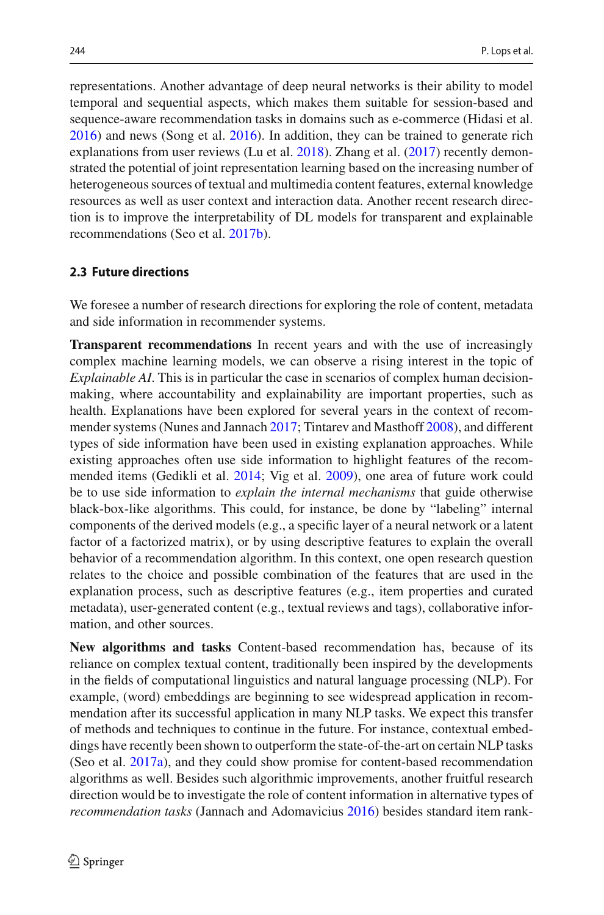representations. Another advantage of deep neural networks is their ability to model temporal and sequential aspects, which makes them suitable for session-based and sequence-aware recommendation tasks in domains such as e-commerce (Hidasi et al[.](#page-8-15) [2016\)](#page-8-15) and news (Song et al[.](#page-9-14) [2016](#page-9-14)). In addition, they can be trained to generate rich explanations from user reviews (Lu et al[.](#page-9-15) [2018\)](#page-8-16). Zhang et al. [\(2017](#page-9-15)) recently demonstrated the potential of joint representation learning based on the increasing number of heterogeneous sources of textual and multimedia content features, external knowledge resources as well as user context and interaction data. Another recent research direction is to improve the interpretability of DL models for transparent and explainable recommendations (Seo et al[.](#page-9-16) [2017b\)](#page-9-16).

#### **2.3 Future directions**

We foresee a number of research directions for exploring the role of content, metadata and side information in recommender systems.

**Transparent recommendations** In recent years and with the use of increasingly complex machine learning models, we can observe a rising interest in the topic of *Explainable AI*. This is in particular the case in scenarios of complex human decisionmaking, where accountability and explainability are important properties, such as health. Explanations have been explored for several years in the context of recommender systems (Nunes and Jannac[h](#page-9-17) [2017](#page-9-17); Tintarev and Masthof[f](#page-9-18) [2008](#page-9-18)), and different types of side information have been used in existing explanation approaches. While existing approaches often use side information to highlight features of the recommended items (Gedikli et al[.](#page-8-6) [2014](#page-8-6); Vig et al[.](#page-9-8) [2009](#page-9-8)), one area of future work could be to use side information to *explain the internal mechanisms* that guide otherwise black-box-like algorithms. This could, for instance, be done by "labeling" internal components of the derived models (e.g., a specific layer of a neural network or a latent factor of a factorized matrix), or by using descriptive features to explain the overall behavior of a recommendation algorithm. In this context, one open research question relates to the choice and possible combination of the features that are used in the explanation process, such as descriptive features (e.g., item properties and curated metadata), user-generated content (e.g., textual reviews and tags), collaborative information, and other sources.

**New algorithms and tasks** Content-based recommendation has, because of its reliance on complex textual content, traditionally been inspired by the developments in the fields of computational linguistics and natural language processing (NLP). For example, (word) embeddings are beginning to see widespread application in recommendation after its successful application in many NLP tasks. We expect this transfer of methods and techniques to continue in the future. For instance, contextual embeddings have recently been shown to outperform the state-of-the-art on certain NLP tasks (Seo et al[.](#page-9-19) [2017a\)](#page-9-19), and they could show promise for content-based recommendation algorithms as well. Besides such algorithmic improvements, another fruitful research direction would be to investigate the role of content information in alternative types of *recommendation tasks* (Jannach and Adomaviciu[s](#page-8-17) [2016\)](#page-8-17) besides standard item rank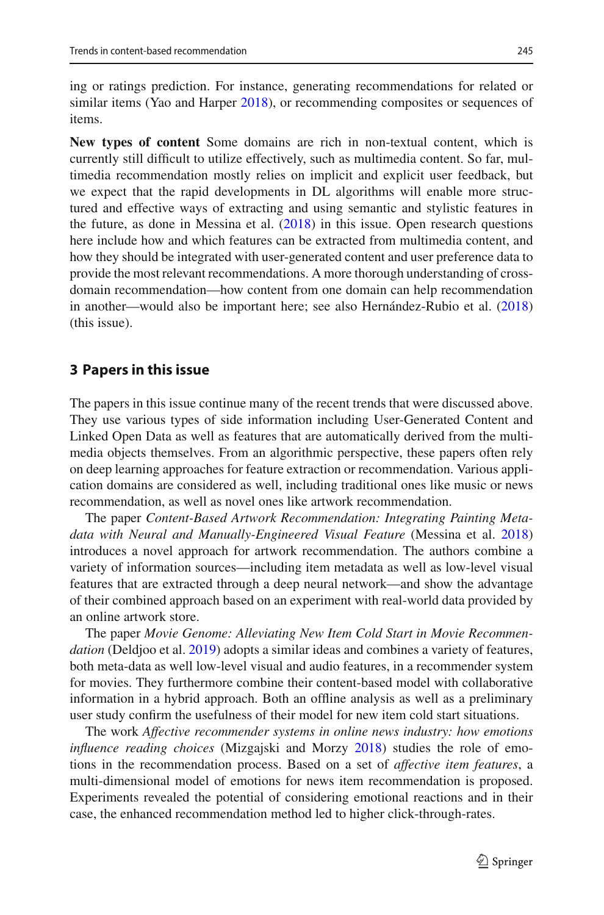ing or ratings prediction. For instance, generating recommendations for related or similar items (Yao and Harpe[r](#page-9-2) [2018](#page-9-2)), or recommending composites or sequences of items.

**New types of content** Some domains are rich in non-textual content, which is currently still difficult to utilize effectively, such as multimedia content. So far, multimedia recommendation mostly relies on implicit and explicit user feedback, but we expect that the rapid developments in DL algorithms will enable more structured and effective ways of extracting and using semantic and stylistic features in the future, as done in Messina et al[.](#page-8-18) [\(2018](#page-8-18)) in this issue. Open research questions here include how and which features can be extracted from multimedia content, and how they should be integrated with user-generated content and user preference data to provide the most relevant recommendations. A more thorough understanding of crossdomain recommendation—how content from one domain can help recommendation in another—would also be important here; see also Hernández-Rubio et al[.](#page-8-19) [\(2018\)](#page-8-19) (this issue).

#### <span id="page-6-0"></span>**3 Papers in this issue**

The papers in this issue continue many of the recent trends that were discussed above. They use various types of side information including User-Generated Content and Linked Open Data as well as features that are automatically derived from the multimedia objects themselves. From an algorithmic perspective, these papers often rely on deep learning approaches for feature extraction or recommendation. Various application domains are considered as well, including traditional ones like music or news recommendation, as well as novel ones like artwork recommendation.

The paper *Content-Based Artwork Recommendation: Integrating Painting Metadata with Neural and Manually-Engineered Visual Feature* (Messina et al[.](#page-8-18) [2018\)](#page-8-18) introduces a novel approach for artwork recommendation. The authors combine a variety of information sources—including item metadata as well as low-level visual features that are extracted through a deep neural network—and show the advantage of their combined approach based on an experiment with real-world data provided by an online artwork store.

The paper *Movie Genome: Alleviating New Item Cold Start in Movie Recommendation* (Deldjoo et al[.](#page-7-4) [2019](#page-7-4)) adopts a similar ideas and combines a variety of features, both meta-data as well low-level visual and audio features, in a recommender system for movies. They furthermore combine their content-based model with collaborative information in a hybrid approach. Both an offline analysis as well as a preliminary user study confirm the usefulness of their model for new item cold start situations.

The work *Affective recommender systems in online news industry: how emotions influence reading choices* (Mizgajski and Morz[y](#page-9-20) [2018](#page-9-20)) studies the role of emotions in the recommendation process. Based on a set of *affective item features*, a multi-dimensional model of emotions for news item recommendation is proposed. Experiments revealed the potential of considering emotional reactions and in their case, the enhanced recommendation method led to higher click-through-rates.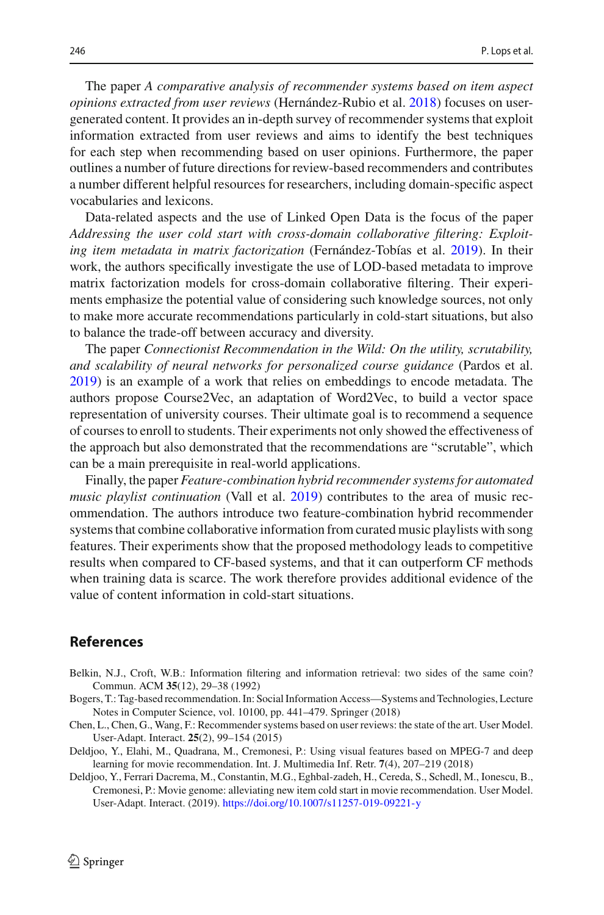The paper *A comparative analysis of recommender systems based on item aspect opinions extracted from user reviews* (Hernández-Rubio et al[.](#page-8-19) [2018\)](#page-8-19) focuses on usergenerated content. It provides an in-depth survey of recommender systems that exploit information extracted from user reviews and aims to identify the best techniques for each step when recommending based on user opinions. Furthermore, the paper outlines a number of future directions for review-based recommenders and contributes a number different helpful resources for researchers, including domain-specific aspect vocabularies and lexicons.

Data-related aspects and the use of Linked Open Data is the focus of the paper *Addressing the user cold start with cross-domain collaborative filtering: Exploiting item metadata in matrix factorization* (Fernández-Tobías et al[.](#page-8-20) [2019](#page-8-20)). In their work, the authors specifically investigate the use of LOD-based metadata to improve matrix factorization models for cross-domain collaborative filtering. Their experiments emphasize the potential value of considering such knowledge sources, not only to make more accurate recommendations particularly in cold-start situations, but also to balance the trade-off between accuracy and diversity.

The paper *Connectionist Recommendation in the Wild: On the utility, scrutability, and scalability of neural networks for personalized course guidance* (Pardos et al[.](#page-9-21) [2019\)](#page-9-21) is an example of a work that relies on embeddings to encode metadata. The authors propose Course2Vec, an adaptation of Word2Vec, to build a vector space representation of university courses. Their ultimate goal is to recommend a sequence of courses to enroll to students. Their experiments not only showed the effectiveness of the approach but also demonstrated that the recommendations are "scrutable", which can be a main prerequisite in real-world applications.

Finally, the paper *Feature-combination hybrid recommender systems for automated music playlist continuation* (Vall et al[.](#page-9-22) [2019](#page-9-22)) contributes to the area of music recommendation. The authors introduce two feature-combination hybrid recommender systems that combine collaborative information from curated music playlists with song features. Their experiments show that the proposed methodology leads to competitive results when compared to CF-based systems, and that it can outperform CF methods when training data is scarce. The work therefore provides additional evidence of the value of content information in cold-start situations.

## **References**

- <span id="page-7-0"></span>Belkin, N.J., Croft, W.B.: Information filtering and information retrieval: two sides of the same coin? Commun. ACM **35**(12), 29–38 (1992)
- <span id="page-7-3"></span>Bogers, T.: Tag-based recommendation. In: Social Information Access—Systems and Technologies, Lecture Notes in Computer Science, vol. 10100, pp. 441–479. Springer (2018)
- <span id="page-7-1"></span>Chen, L., Chen, G., Wang, F.: Recommender systems based on user reviews: the state of the art. User Model. User-Adapt. Interact. **25**(2), 99–154 (2015)
- <span id="page-7-2"></span>Deldjoo, Y., Elahi, M., Quadrana, M., Cremonesi, P.: Using visual features based on MPEG-7 and deep learning for movie recommendation. Int. J. Multimedia Inf. Retr. **7**(4), 207–219 (2018)
- <span id="page-7-4"></span>Deldjoo, Y., Ferrari Dacrema, M., Constantin, M.G., Eghbal-zadeh, H., Cereda, S., Schedl, M., Ionescu, B., Cremonesi, P.: Movie genome: alleviating new item cold start in movie recommendation. User Model. User-Adapt. Interact. (2019). <https://doi.org/10.1007/s11257-019-09221-y>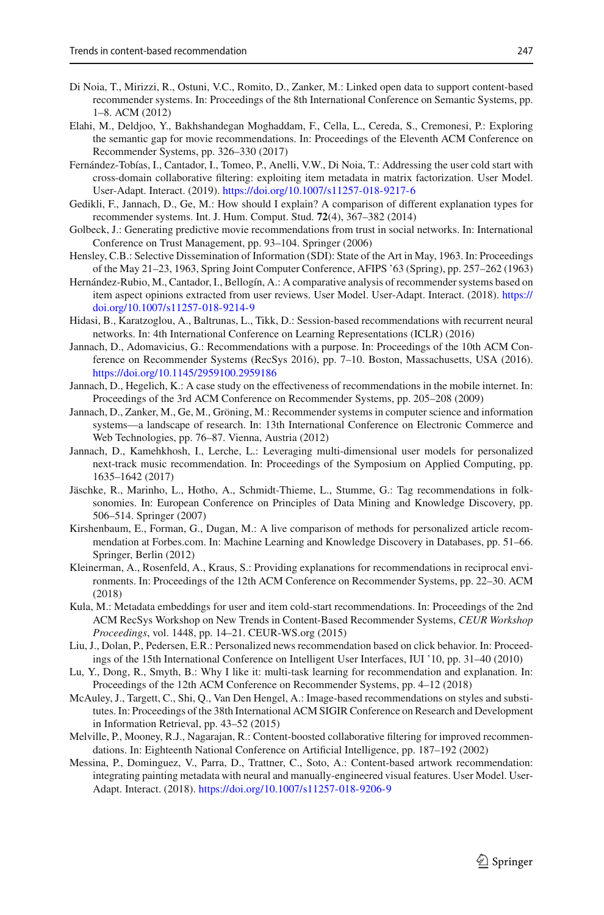- <span id="page-8-7"></span>Di Noia, T., Mirizzi, R., Ostuni, V.C., Romito, D., Zanker, M.: Linked open data to support content-based recommender systems. In: Proceedings of the 8th International Conference on Semantic Systems, pp. 1–8. ACM (2012)
- <span id="page-8-10"></span>Elahi, M., Deldjoo, Y., Bakhshandegan Moghaddam, F., Cella, L., Cereda, S., Cremonesi, P.: Exploring the semantic gap for movie recommendations. In: Proceedings of the Eleventh ACM Conference on Recommender Systems, pp. 326–330 (2017)
- <span id="page-8-20"></span>Fernández-Tobías, I., Cantador, I., Tomeo, P., Anelli, V.W., Di Noia, T.: Addressing the user cold start with cross-domain collaborative filtering: exploiting item metadata in matrix factorization. User Model. User-Adapt. Interact. (2019). <https://doi.org/10.1007/s11257-018-9217-6>
- <span id="page-8-6"></span>Gedikli, F., Jannach, D., Ge, M.: How should I explain? A comparison of different explanation types for recommender systems. Int. J. Hum. Comput. Stud. **72**(4), 367–382 (2014)
- <span id="page-8-11"></span>Golbeck, J.: Generating predictive movie recommendations from trust in social networks. In: International Conference on Trust Management, pp. 93–104. Springer (2006)
- <span id="page-8-4"></span>Hensley, C.B.: Selective Dissemination of Information (SDI): State of the Art in May, 1963. In: Proceedings of the May 21–23, 1963, Spring Joint Computer Conference, AFIPS '63 (Spring), pp. 257–262 (1963)
- <span id="page-8-19"></span>Hernández-Rubio, M., Cantador, I., Bellogín, A.: A comparative analysis of recommender systems based on item aspect opinions extracted from user reviews. User Model. User-Adapt. Interact. (2018). [https://](https://doi.org/10.1007/s11257-018-9214-9) [doi.org/10.1007/s11257-018-9214-9](https://doi.org/10.1007/s11257-018-9214-9)
- <span id="page-8-15"></span>Hidasi, B., Karatzoglou, A., Baltrunas, L., Tikk, D.: Session-based recommendations with recurrent neural networks. In: 4th International Conference on Learning Representations (ICLR) (2016)
- <span id="page-8-17"></span>Jannach, D., Adomavicius, G.: Recommendations with a purpose. In: Proceedings of the 10th ACM Conference on Recommender Systems (RecSys 2016), pp. 7–10. Boston, Massachusetts, USA (2016). <https://doi.org/10.1145/2959100.2959186>
- <span id="page-8-1"></span>Jannach, D., Hegelich, K.: A case study on the effectiveness of recommendations in the mobile internet. In: Proceedings of the 3rd ACM Conference on Recommender Systems, pp. 205–208 (2009)
- <span id="page-8-0"></span>Jannach, D., Zanker, M., Ge, M., Gröning, M.: Recommender systems in computer science and information systems—a landscape of research. In: 13th International Conference on Electronic Commerce and Web Technologies, pp. 76–87. Vienna, Austria (2012)
- <span id="page-8-13"></span>Jannach, D., Kamehkhosh, I., Lerche, L.: Leveraging multi-dimensional user models for personalized next-track music recommendation. In: Proceedings of the Symposium on Applied Computing, pp. 1635–1642 (2017)
- <span id="page-8-8"></span>Jäschke, R., Marinho, L., Hotho, A., Schmidt-Thieme, L., Stumme, G.: Tag recommendations in folksonomies. In: European Conference on Principles of Data Mining and Knowledge Discovery, pp. 506–514. Springer (2007)
- <span id="page-8-2"></span>Kirshenbaum, E., Forman, G., Dugan, M.: A live comparison of methods for personalized article recommendation at Forbes.com. In: Machine Learning and Knowledge Discovery in Databases, pp. 51–66. Springer, Berlin (2012)
- <span id="page-8-12"></span>Kleinerman, A., Rosenfeld, A., Kraus, S.: Providing explanations for recommendations in reciprocal environments. In: Proceedings of the 12th ACM Conference on Recommender Systems, pp. 22–30. ACM (2018)
- <span id="page-8-14"></span>Kula, M.: Metadata embeddings for user and item cold-start recommendations. In: Proceedings of the 2nd ACM RecSys Workshop on New Trends in Content-Based Recommender Systems, *CEUR Workshop Proceedings*, vol. 1448, pp. 14–21. CEUR-WS.org (2015)
- <span id="page-8-3"></span>Liu, J., Dolan, P., Pedersen, E.R.: Personalized news recommendation based on click behavior. In: Proceedings of the 15th International Conference on Intelligent User Interfaces, IUI '10, pp. 31–40 (2010)
- <span id="page-8-16"></span>Lu, Y., Dong, R., Smyth, B.: Why I like it: multi-task learning for recommendation and explanation. In: Proceedings of the 12th ACM Conference on Recommender Systems, pp. 4–12 (2018)
- <span id="page-8-9"></span>McAuley, J., Targett, C., Shi, Q., Van Den Hengel, A.: Image-based recommendations on styles and substitutes. In: Proceedings of the 38th International ACM SIGIR Conference on Research and Development in Information Retrieval, pp. 43–52 (2015)
- <span id="page-8-5"></span>Melville, P., Mooney, R.J., Nagarajan, R.: Content-boosted collaborative filtering for improved recommendations. In: Eighteenth National Conference on Artificial Intelligence, pp. 187–192 (2002)
- <span id="page-8-18"></span>Messina, P., Dominguez, V., Parra, D., Trattner, C., Soto, A.: Content-based artwork recommendation: integrating painting metadata with neural and manually-engineered visual features. User Model. User-Adapt. Interact. (2018). <https://doi.org/10.1007/s11257-018-9206-9>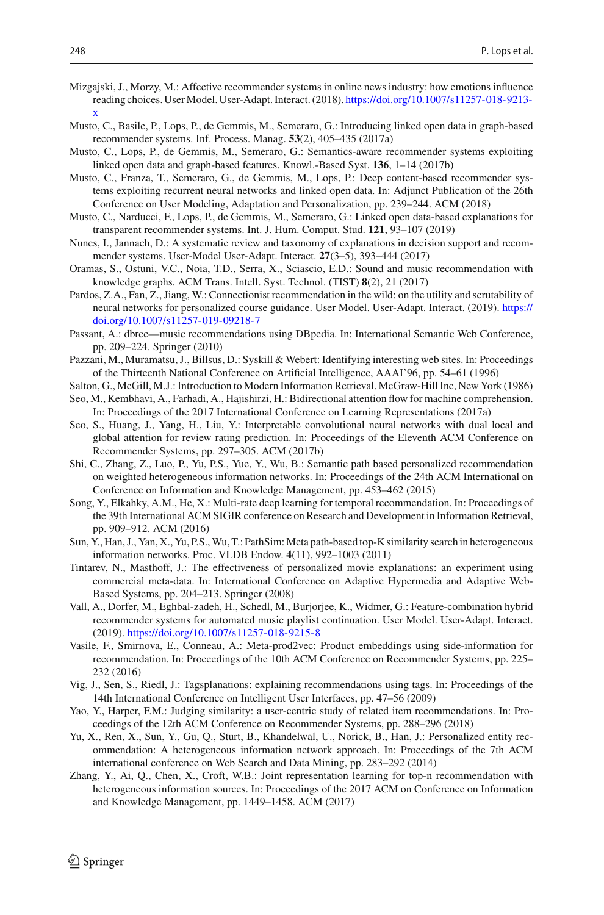- <span id="page-9-20"></span>Mizgajski, J., Morzy, M.: Affective recommender systems in online news industry: how emotions influence reading choices. User Model. User-Adapt. Interact. (2018). [https://doi.org/10.1007/s11257-018-9213](https://doi.org/10.1007/s11257-018-9213-x) [x](https://doi.org/10.1007/s11257-018-9213-x)
- <span id="page-9-5"></span>Musto, C., Basile, P., Lops, P., de Gemmis, M., Semeraro, G.: Introducing linked open data in graph-based recommender systems. Inf. Process. Manag. **53**(2), 405–435 (2017a)
- <span id="page-9-3"></span>Musto, C., Lops, P., de Gemmis, M., Semeraro, G.: Semantics-aware recommender systems exploiting linked open data and graph-based features. Knowl.-Based Syst. **136**, 1–14 (2017b)
- <span id="page-9-13"></span>Musto, C., Franza, T., Semeraro, G., de Gemmis, M., Lops, P.: Deep content-based recommender systems exploiting recurrent neural networks and linked open data. In: Adjunct Publication of the 26th Conference on User Modeling, Adaptation and Personalization, pp. 239–244. ACM (2018)
- <span id="page-9-7"></span>Musto, C., Narducci, F., Lops, P., de Gemmis, M., Semeraro, G.: Linked open data-based explanations for transparent recommender systems. Int. J. Hum. Comput. Stud. **121**, 93–107 (2019)
- <span id="page-9-17"></span>Nunes, I., Jannach, D.: A systematic review and taxonomy of explanations in decision support and recommender systems. User-Model User-Adapt. Interact. **27**(3–5), 393–444 (2017)
- <span id="page-9-6"></span>Oramas, S., Ostuni, V.C., Noia, T.D., Serra, X., Sciascio, E.D.: Sound and music recommendation with knowledge graphs. ACM Trans. Intell. Syst. Technol. (TIST) **8**(2), 21 (2017)
- <span id="page-9-21"></span>Pardos, Z.A., Fan, Z., Jiang, W.: Connectionist recommendation in the wild: on the utility and scrutability of neural networks for personalized course guidance. User Model. User-Adapt. Interact. (2019). [https://](https://doi.org/10.1007/s11257-019-09218-7) [doi.org/10.1007/s11257-019-09218-7](https://doi.org/10.1007/s11257-019-09218-7)
- <span id="page-9-4"></span>Passant, A.: dbrec—music recommendations using DBpedia. In: International Semantic Web Conference, pp. 209–224. Springer (2010)
- <span id="page-9-1"></span>Pazzani, M., Muramatsu, J., Billsus, D.: Syskill & Webert: Identifying interesting web sites. In: Proceedings of the Thirteenth National Conference on Artificial Intelligence, AAAI'96, pp. 54–61 (1996)
- <span id="page-9-0"></span>Salton, G., McGill, M.J.: Introduction to Modern Information Retrieval. McGraw-Hill Inc, New York (1986)
- <span id="page-9-19"></span>Seo, M., Kembhavi, A., Farhadi, A., Hajishirzi, H.: Bidirectional attention flow for machine comprehension. In: Proceedings of the 2017 International Conference on Learning Representations (2017a)
- <span id="page-9-16"></span>Seo, S., Huang, J., Yang, H., Liu, Y.: Interpretable convolutional neural networks with dual local and global attention for review rating prediction. In: Proceedings of the Eleventh ACM Conference on Recommender Systems, pp. 297–305. ACM (2017b)
- <span id="page-9-10"></span>Shi, C., Zhang, Z., Luo, P., Yu, P.S., Yue, Y., Wu, B.: Semantic path based personalized recommendation on weighted heterogeneous information networks. In: Proceedings of the 24th ACM International on Conference on Information and Knowledge Management, pp. 453–462 (2015)
- <span id="page-9-14"></span>Song, Y., Elkahky, A.M., He, X.: Multi-rate deep learning for temporal recommendation. In: Proceedings of the 39th International ACM SIGIR conference on Research and Development in Information Retrieval, pp. 909–912. ACM (2016)
- <span id="page-9-9"></span>Sun, Y., Han, J., Yan, X., Yu, P.S., Wu, T.: PathSim: Meta path-based top-K similarity search in heterogeneous information networks. Proc. VLDB Endow. **4**(11), 992–1003 (2011)
- <span id="page-9-18"></span>Tintarev, N., Masthoff, J.: The effectiveness of personalized movie explanations: an experiment using commercial meta-data. In: International Conference on Adaptive Hypermedia and Adaptive Web-Based Systems, pp. 204–213. Springer (2008)
- <span id="page-9-22"></span>Vall, A., Dorfer, M., Eghbal-zadeh, H., Schedl, M., Burjorjee, K., Widmer, G.: Feature-combination hybrid recommender systems for automated music playlist continuation. User Model. User-Adapt. Interact. (2019). <https://doi.org/10.1007/s11257-018-9215-8>
- <span id="page-9-12"></span>Vasile, F., Smirnova, E., Conneau, A.: Meta-prod2vec: Product embeddings using side-information for recommendation. In: Proceedings of the 10th ACM Conference on Recommender Systems, pp. 225– 232 (2016)
- <span id="page-9-8"></span>Vig, J., Sen, S., Riedl, J.: Tagsplanations: explaining recommendations using tags. In: Proceedings of the 14th International Conference on Intelligent User Interfaces, pp. 47–56 (2009)
- <span id="page-9-2"></span>Yao, Y., Harper, F.M.: Judging similarity: a user-centric study of related item recommendations. In: Proceedings of the 12th ACM Conference on Recommender Systems, pp. 288–296 (2018)
- <span id="page-9-11"></span>Yu, X., Ren, X., Sun, Y., Gu, Q., Sturt, B., Khandelwal, U., Norick, B., Han, J.: Personalized entity recommendation: A heterogeneous information network approach. In: Proceedings of the 7th ACM international conference on Web Search and Data Mining, pp. 283–292 (2014)
- <span id="page-9-15"></span>Zhang, Y., Ai, Q., Chen, X., Croft, W.B.: Joint representation learning for top-n recommendation with heterogeneous information sources. In: Proceedings of the 2017 ACM on Conference on Information and Knowledge Management, pp. 1449–1458. ACM (2017)